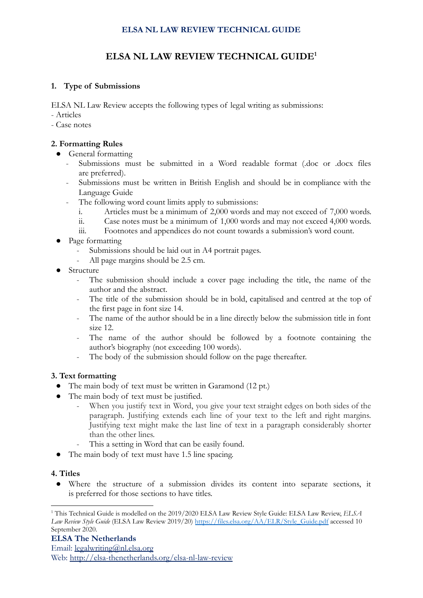# **ELSA NL LAW REVIEW TECHNICAL GUIDE**

# **ELSA NL LAW REVIEW TECHNICAL GUIDE 1**

### **1. Type of Submissions**

ELSA NL Law Review accepts the following types of legal writing as submissions:

- Articles
- Case notes

# **2. Formatting Rules**

- General formatting
	- Submissions must be submitted in a Word readable format (.doc or .docx files are preferred).
	- Submissions must be written in British English and should be in compliance with the Language Guide
	- The following word count limits apply to submissions:
		- i. Articles must be a minimum of 2,000 words and may not exceed of 7,000 words.
		- ii. Case notes must be a minimum of 1,000 words and may not exceed 4,000 words.
		- iii. Footnotes and appendices do not count towards a submission's word count.
- Page formatting
	- Submissions should be laid out in A4 portrait pages.
	- All page margins should be 2.5 cm.
- **Structure** 
	- The submission should include a cover page including the title, the name of the author and the abstract.
	- The title of the submission should be in bold, capitalised and centred at the top of the first page in font size 14.
	- The name of the author should be in a line directly below the submission title in font size 12.
	- The name of the author should be followed by a footnote containing the author's biography (not exceeding 100 words).
	- The body of the submission should follow on the page thereafter.

### **3. Text formatting**

- The main body of text must be written in Garamond (12 pt.)
	- The main body of text must be justified.
		- When you justify text in Word, you give your text straight edges on both sides of the paragraph. Justifying extends each line of your text to the left and right margins. Justifying text might make the last line of text in a paragraph considerably shorter than the other lines.
		- This a setting in Word that can be easily found.
- The main body of text must have 1.5 line spacing.

### **4. Titles**

● Where the structure of a submission divides its content into separate sections, it is preferred for those sections to have titles.

<sup>1</sup> This Technical Guide is modelled on the 2019/2020 ELSA Law Review Style Guide: ELSA Law Review, *ELSA Law Review Style Guide* (ELSA Law Review 2019/20) [https://files.elsa.org/AA/ELR/Style\\_Guide.pdf](https://files.elsa.org/AA/ELR/Style_Guide.pdf) accessed 10 September 2020.